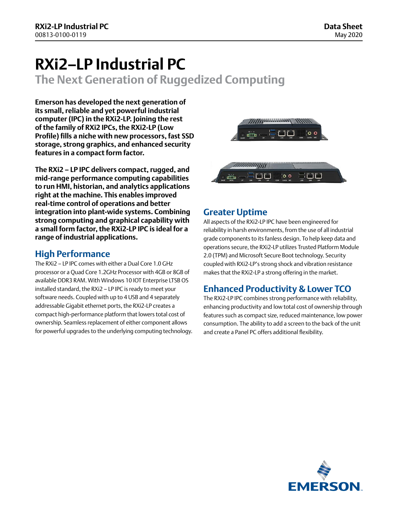# **RXi2–LP Industrial PC**

**The Next Generation of Ruggedized Computing**

**Emerson has developed the next generation of its small, reliable and yet powerful industrial computer (IPC) in the RXi2-LP. Joining the rest of the family of RXi2 IPCs, the RXi2-LP (Low Profile) fills a niche with new processors, fast SSD storage, strong graphics, and enhanced security features in a compact form factor.**

**The RXi2 – LP IPC delivers compact, rugged, and mid-range performance computing capabilities to run HMI, historian, and analytics applications right at the machine. This enables improved real-time control of operations and better integration into plant-wide systems. Combining strong computing and graphical capability with a small form factor, the RXi2-LP IPC is ideal for a range of industrial applications.**

### **High Performance**

The RXi2 – LP IPC comes with either a Dual Core 1.0 GHz processor or a Quad Core 1.2GHz Processor with 4GB or 8GB of available DDR3 RAM. With Windows 10 IOT Enterprise LTSB OS installed standard, the RXi2 – LP IPC is ready to meet your software needs. Coupled with up to 4 USB and 4 separately addressable Gigabit ethernet ports, the RXi2-LP creates a compact high-performance platform that lowers total cost of ownership. Seamless replacement of either component allows for powerful upgrades to the underlying computing technology.



### **Greater Uptime**

All aspects of the RXi2-LP IPC have been engineered for reliability in harsh environments, from the use of all industrial grade components to its fanless design. To help keep data and operations secure, the RXi2-LP utilizes Trusted Platform Module 2.0 (TPM) and Microsoft Secure Boot technology. Security coupled with RXi2-LP's strong shock and vibration resistance makes that the RXi2-LP a strong offering in the market.

### **Enhanced Productivity & Lower TCO**

The RXi2-LP IPC combines strong performance with reliability, enhancing productivity and low total cost of ownership through features such as compact size, reduced maintenance, low power consumption. The ability to add a screen to the back of the unit and create a Panel PC offers additional flexibility.

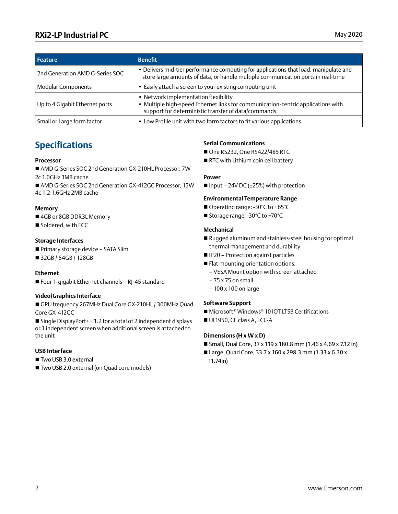### **RXi2-LP Industrial PC** May 2020

| <b>Feature</b>                  | <b>Benefit</b>                                                                                                                                                                |
|---------------------------------|-------------------------------------------------------------------------------------------------------------------------------------------------------------------------------|
| 2nd Generation AMD G-Series SOC | • Delivers mid-tier performance computing for applications that load, manipulate and<br>store large amounts of data, or handle multiple communication ports in real-time      |
| <b>Modular Components</b>       | • Easily attach a screen to your existing computing unit                                                                                                                      |
| Up to 4 Gigabit Ethernet ports  | • Network implementation flexibility<br>Multiple high-speed Ethernet links for communication-centric applications with<br>support for deterministic transfer of data/commands |
| Small or Large form factor      | • Low Profile unit with two form factors to fit various applications                                                                                                          |

### **Specifications**

#### **Processor**

- AMD G-Series SOC 2nd Generation GX-210HL Processor, 7W 2c 1.0GHz 1MB cache
- AMD G-Series SOC 2nd Generation GX-412GC Processor, 15W 4c 1.2-1.6GHz 2MB cache

#### **Memory**

- 4GB or 8GB DDR3L Memory
- Soldered, with ECC

#### **Storage Interfaces**

- Primary storage device SATA Slim
- 32GB / 64GB / 128GB

#### **Ethernet**

 $\blacksquare$  Four 1-gigabit Ethernet channels - RJ-45 standard

#### **Video/Graphics Interface**

■ GPU frequency 267MHz Dual Core GX-210HL / 300MHz Quad Core GX-412GC

■ Single DisplayPort++ 1.2 for a total of 2 independent displays or 1 independent screen when additional screen is attached to the unit

#### **USB Interface**

- $\blacksquare$  Two USB 3.0 external
- Two USB 2.0 external (on Quad core models)

#### **Serial Communications**

- One RS232, One RS422/485 RTC
- RTC with Lithium coin cell battery

#### **Power**

Input – 24V DC ( $\pm$ 25%) with protection

#### **Environmental Temperature Range**

- Operating range: -30°C to +65°C
- Storage range: -30°C to +70°C

#### **Mechanical**

- Rugged aluminum and stainless-steel housing for optimal thermal management and durability
- **n** IP20 Protection against particles
- **Flat mounting orientation options:** 
	- VESA Mount option with screen attached
	- 75 x 75 on small
	- 100 x 100 on large

#### **Software Support**

- Microsoft<sup>®</sup> Windows<sup>®</sup> 10 IOT LTSB Certifications
- UL1950, CE class A, FCC-A

#### **Dimensions (H x W x D)**

- Small, Dual Core,  $37 \times 119 \times 180.8$  mm (1.46  $\times$  4.69  $\times$  7.12 in)
- Large, Quad Core, 33.7 x 160 x 298.3 mm (1.33 x 6.30 x 11.74in)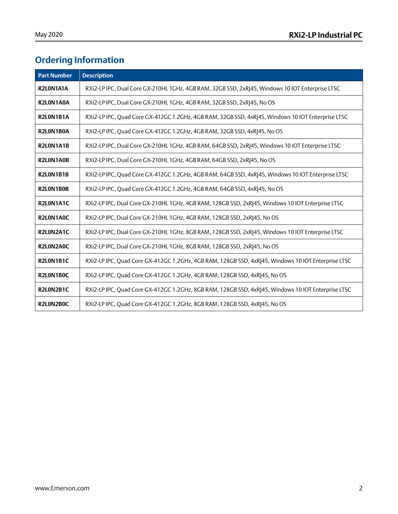## **Ordering Information**

| <b>Part Number</b> | <b>Description</b>                                                                                 |
|--------------------|----------------------------------------------------------------------------------------------------|
| R2L0N1A1A          | RXi2-LP IPC, Dual Core GX-210HL 1GHz, 4GB RAM, 32GB SSD, 2xR 45, Windows 10 IOT Enterprise LTSC    |
| R2L0N1A0A          | RXi2-LP IPC, Dual Core GX-210HL 1GHz, 4GB RAM, 32GB SSD, 2xRJ45, No OS                             |
| R2L0N1B1A          | RXi2-LP IPC, Quad Core GX-412GC 1.2GHz, 4GB RAM, 32GB SSD, 4xR 45, Windows 10 IOT Enterprise LTSC  |
| R2L0N1B0A          | RXi2-LP IPC, Quad Core GX-412GC 1.2GHz, 4GB RAM, 32GB SSD, 4xRJ45, No OS                           |
| R2L0N1A1B          | RXi2-LP IPC, Dual Core GX-210HL 1GHz, 4GB RAM, 64GB SSD, 2xR 45, Windows 10 IOT Enterprise LTSC    |
| R2L0N1A0B          | RXi2-LP IPC, Dual Core GX-210HL 1GHz, 4GB RAM, 64GB SSD, 2xRJ45, No OS                             |
| R2L0N1B1B          | RXi2-LP IPC, Quad Core GX-412GC 1.2GHz, 4GB RAM, 64GB SSD, 4xR 45, Windows 10 IOT Enterprise LTSC  |
| R2L0N1B0B          | RXi2-LP IPC, Quad Core GX-412GC 1.2GHz, 4GB RAM, 64GB SSD, 4xRJ45, No OS                           |
| R2L0N1A1C          | RXi2-LP IPC, Dual Core GX-210HL 1GHz, 4GB RAM, 128GB SSD, 2xR 45, Windows 10 IOT Enterprise LTSC   |
| R2L0N1A0C          | RXi2-LP IPC, Dual Core GX-210HL 1GHz, 4GB RAM, 128GB SSD, 2xRJ45, No OS                            |
| R2L0N2A1C          | RXi2-LP IPC, Dual Core GX-210HL 1GHz, 8GB RAM, 128GB SSD, 2xR 45, Windows 10 IOT Enterprise LTSC   |
| R2L0N2A0C          | RXi2-LP IPC, Dual Core GX-210HL 1GHz, 8GB RAM, 128GB SSD, 2xRJ45, No OS                            |
| R2L0N1B1C          | RXi2-LP IPC, Quad Core GX-412GC 1.2GHz, 4GB RAM, 128GB SSD, 4xRJ45, Windows 10 IOT Enterprise LTSC |
| R2L0N1B0C          | RXi2-LP IPC, Quad Core GX-412GC 1.2GHz, 4GB RAM, 128GB SSD, 4xRJ45, No OS                          |
| R2L0N2B1C          | RXi2-LP IPC, Quad Core GX-412GC 1.2GHz, 8GB RAM, 128GB SSD, 4xR 45, Windows 10 IOT Enterprise LTSC |
| R2L0N2B0C          | RXi2-LP IPC, Quad Core GX-412GC 1.2GHz, 8GB RAM, 128GB SSD, 4xR 45, No OS                          |